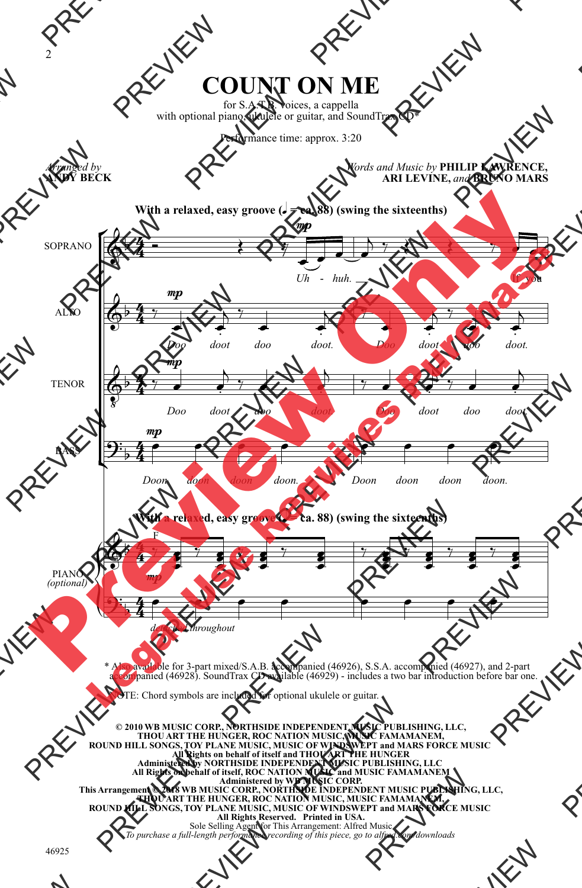## **COUNT ON ME**

for S.A.T.B. voices, a cappella with optional piano, ukulele or guitar, and SoundTrax CD\*

Performance time: approx. 3:20

*Arranged by* **ANDY BECK** *Words and Music by* **PHILIP LAWRENCE, ARI LEVINE,** *and* **BRUNO MARS**

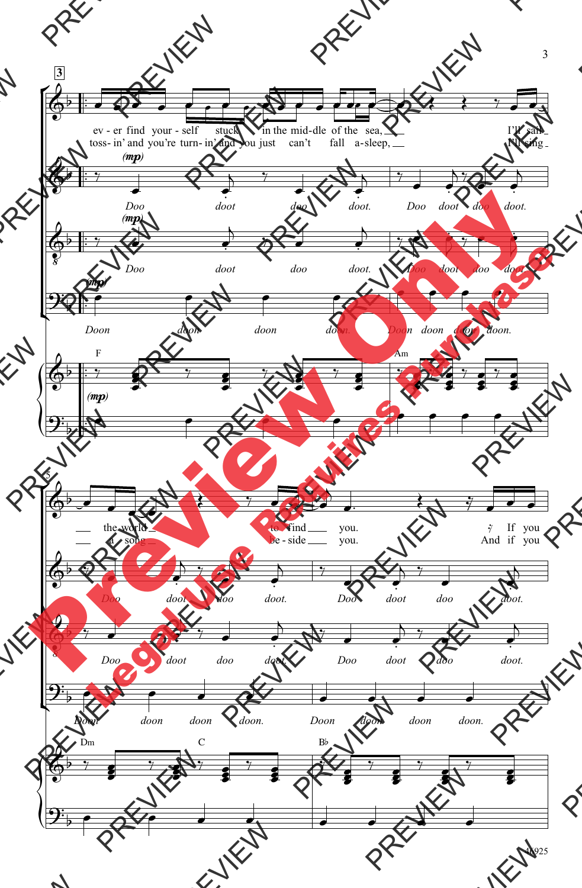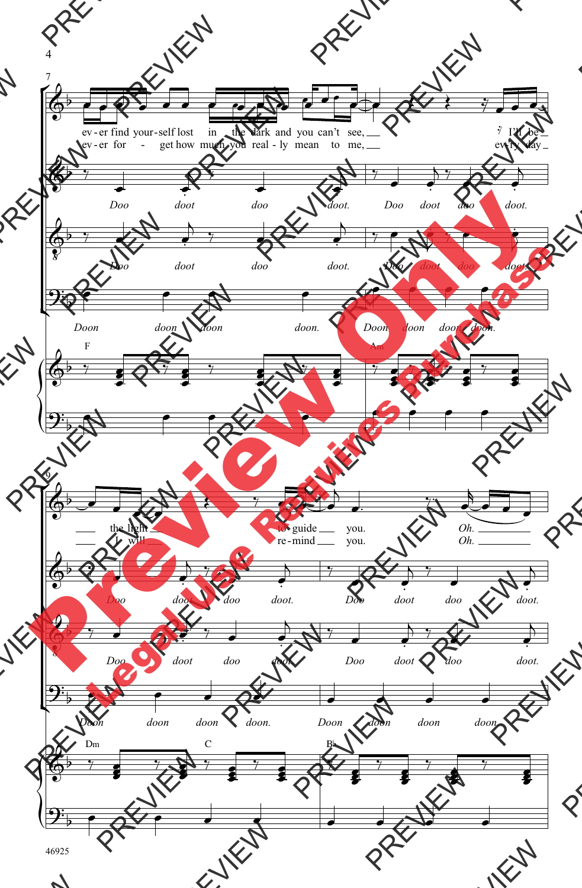

46925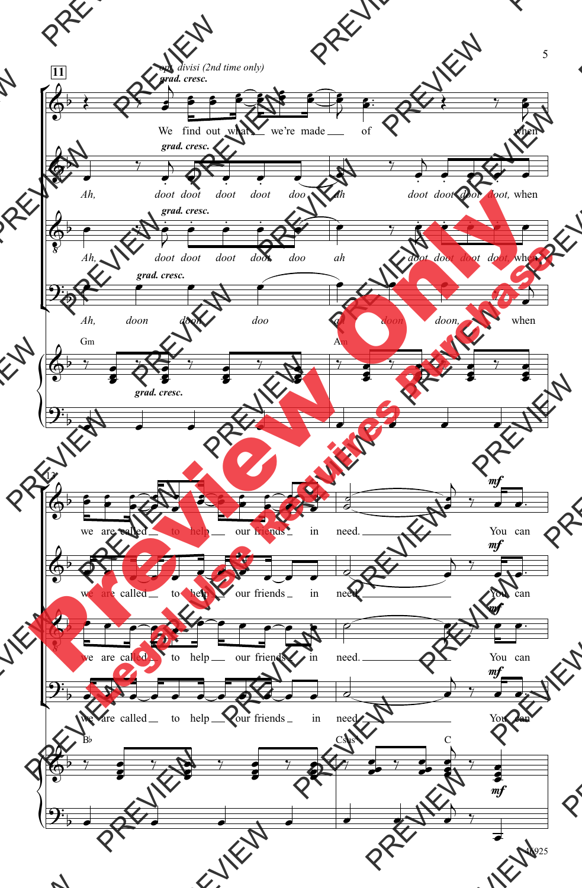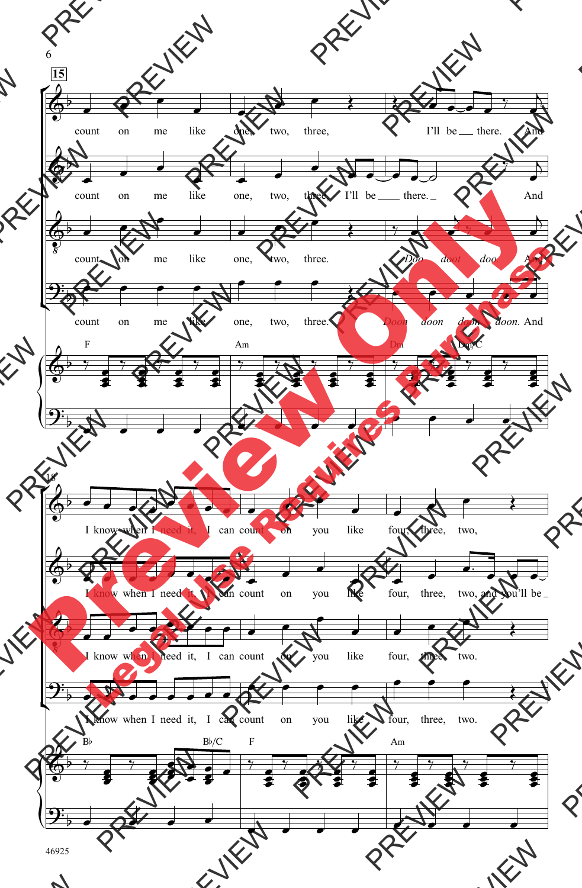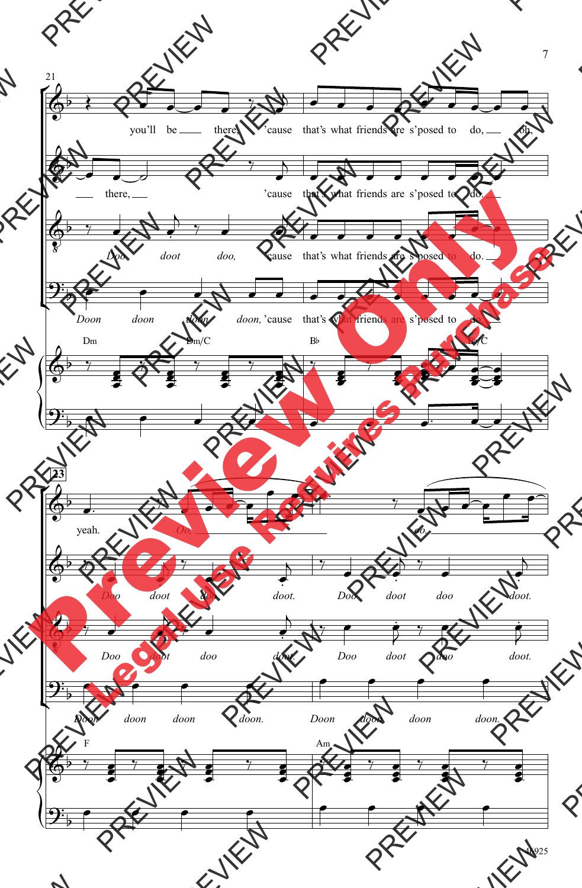![](_page_5_Figure_0.jpeg)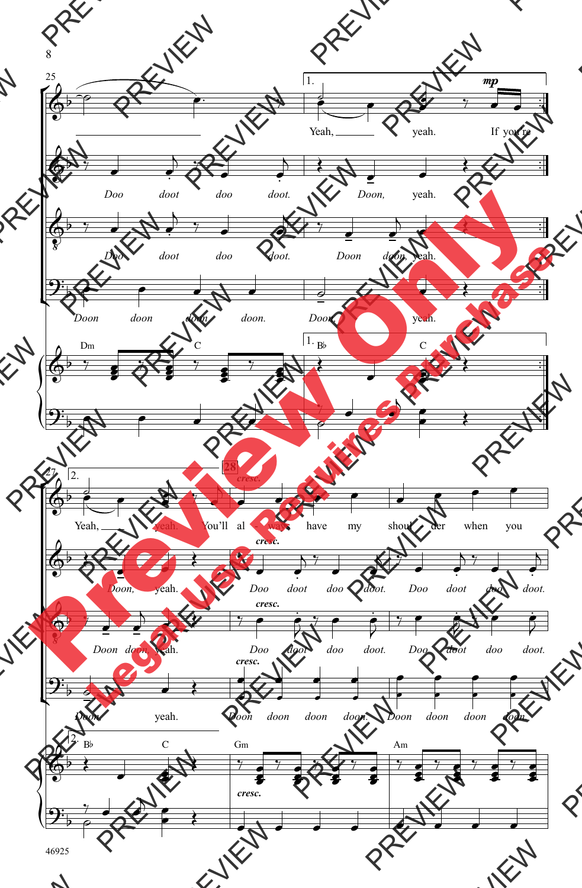![](_page_6_Figure_0.jpeg)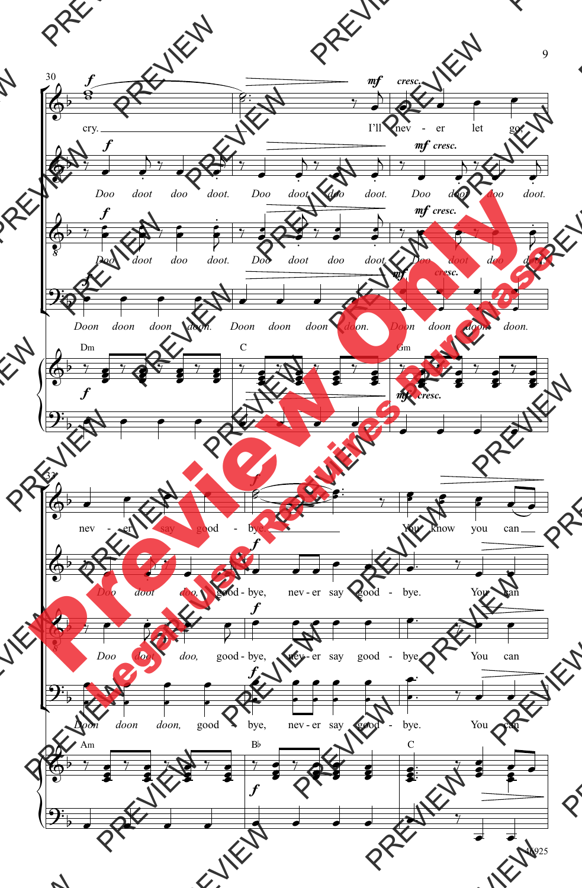![](_page_7_Figure_0.jpeg)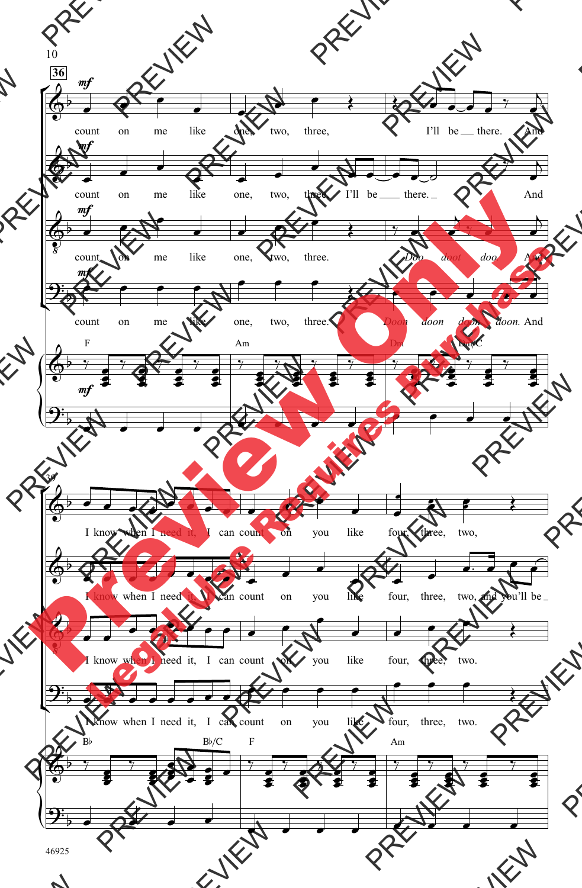![](_page_8_Figure_0.jpeg)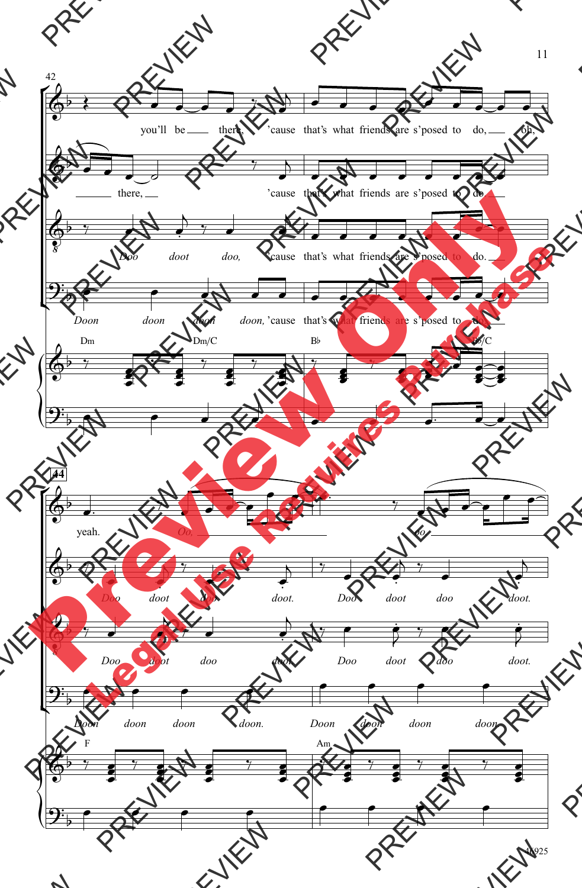![](_page_9_Figure_0.jpeg)